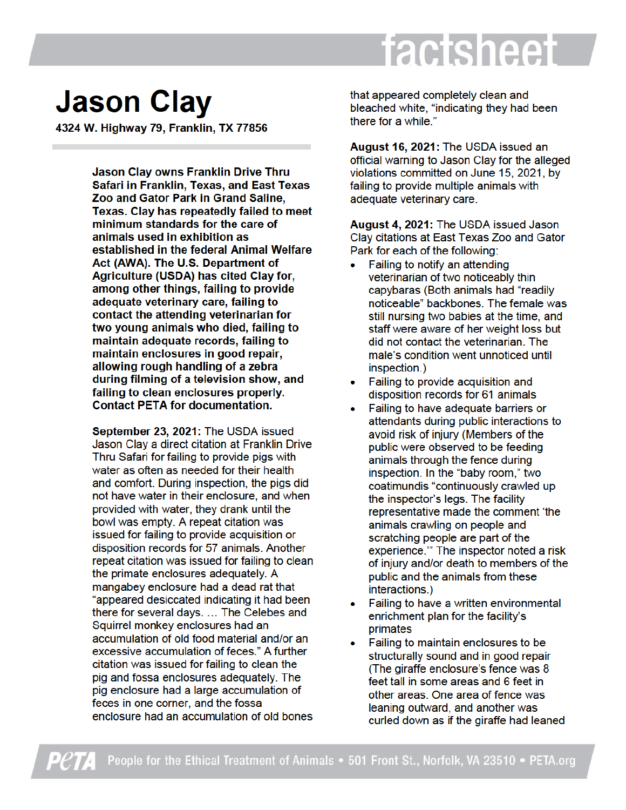## factsheet

## **Jason Clay**

4324 W. Highway 79, Franklin, TX 77856

Jason Clay owns Franklin Drive Thru Safari in Franklin, Texas, and East Texas Zoo and Gator Park in Grand Saline, Texas. Clav has repeatedly failed to meet minimum standards for the care of animals used in exhibition as established in the federal Animal Welfare Act (AWA). The U.S. Department of Agriculture (USDA) has cited Clay for, among other things, failing to provide adequate veterinary care, failing to contact the attending veterinarian for two young animals who died, failing to maintain adequate records, failing to maintain enclosures in good repair, allowing rough handling of a zebra during filming of a television show, and failing to clean enclosures properly. **Contact PETA for documentation.** 

September 23, 2021: The USDA issued Jason Clay a direct citation at Franklin Drive Thru Safari for failing to provide pigs with water as often as needed for their health and comfort. During inspection, the pigs did not have water in their enclosure, and when provided with water, they drank until the bowl was empty. A repeat citation was issued for failing to provide acquisition or disposition records for 57 animals. Another repeat citation was issued for failing to clean the primate enclosures adequately. A mangabey enclosure had a dead rat that "appeared desiccated indicating it had been there for several days. ... The Celebes and Squirrel monkey enclosures had an accumulation of old food material and/or an excessive accumulation of feces." A further citation was issued for failing to clean the pig and fossa enclosures adequately. The pig enclosure had a large accumulation of feces in one corner, and the fossa enclosure had an accumulation of old bones

that appeared completely clean and bleached white, "indicating they had been there for a while."

August 16, 2021: The USDA issued an official warning to Jason Clay for the alleged violations committed on June 15, 2021, by failing to provide multiple animals with adequate veterinary care.

August 4, 2021: The USDA issued Jason Clay citations at East Texas Zoo and Gator Park for each of the following:

- Failing to notify an attending veterinarian of two noticeably thin capybaras (Both animals had "readily noticeable" backbones. The female was still nursing two babies at the time, and staff were aware of her weight loss but did not contact the veterinarian. The male's condition went unnoticed until inspection.)
- Failing to provide acquisition and disposition records for 61 animals
- Failing to have adequate barriers or attendants during public interactions to avoid risk of injury (Members of the public were observed to be feeding animals through the fence during inspection. In the "baby room," two coatimundis "continuously crawled up the inspector's legs. The facility representative made the comment 'the animals crawling on people and scratching people are part of the experience." The inspector noted a risk of injury and/or death to members of the public and the animals from these interactions.)
- Failing to have a written environmental enrichment plan for the facility's primates
- Failing to maintain enclosures to be structurally sound and in good repair (The giraffe enclosure's fence was 8) feet tall in some areas and 6 feet in other areas. One area of fence was leaning outward, and another was curled down as if the giraffe had leaned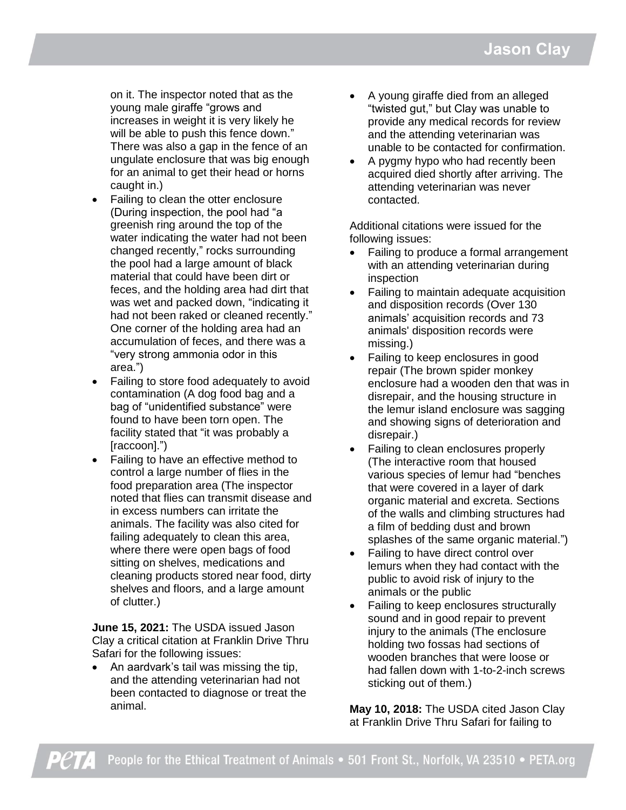on it. The inspector noted that as the young male giraffe "grows and increases in weight it is very likely he will be able to push this fence down." There was also a gap in the fence of an ungulate enclosure that was big enough for an animal to get their head or horns caught in.)

- Failing to clean the otter enclosure (During inspection, the pool had "a greenish ring around the top of the water indicating the water had not been changed recently," rocks surrounding the pool had a large amount of black material that could have been dirt or feces, and the holding area had dirt that was wet and packed down, "indicating it had not been raked or cleaned recently." One corner of the holding area had an accumulation of feces, and there was a "very strong ammonia odor in this area.")
- Failing to store food adequately to avoid contamination (A dog food bag and a bag of "unidentified substance" were found to have been torn open. The facility stated that "it was probably a [raccoon].")
- Failing to have an effective method to control a large number of flies in the food preparation area (The inspector noted that flies can transmit disease and in excess numbers can irritate the animals. The facility was also cited for failing adequately to clean this area, where there were open bags of food sitting on shelves, medications and cleaning products stored near food, dirty shelves and floors, and a large amount of clutter.)

**June 15, 2021:** The USDA issued Jason Clay a critical citation at Franklin Drive Thru Safari for the following issues:

 An aardvark's tail was missing the tip, and the attending veterinarian had not been contacted to diagnose or treat the animal.

- A young giraffe died from an alleged "twisted gut," but Clay was unable to provide any medical records for review and the attending veterinarian was unable to be contacted for confirmation.
- A pygmy hypo who had recently been acquired died shortly after arriving. The attending veterinarian was never contacted.

Additional citations were issued for the following issues:

- Failing to produce a formal arrangement with an attending veterinarian during inspection
- Failing to maintain adequate acquisition and disposition records (Over 130 animals' acquisition records and 73 animals' disposition records were missing.)
- Failing to keep enclosures in good repair (The brown spider monkey enclosure had a wooden den that was in disrepair, and the housing structure in the lemur island enclosure was sagging and showing signs of deterioration and disrepair.)
- Failing to clean enclosures properly (The interactive room that housed various species of lemur had "benches that were covered in a layer of dark organic material and excreta. Sections of the walls and climbing structures had a film of bedding dust and brown splashes of the same organic material.")
- Failing to have direct control over lemurs when they had contact with the public to avoid risk of injury to the animals or the public
- Failing to keep enclosures structurally sound and in good repair to prevent injury to the animals (The enclosure holding two fossas had sections of wooden branches that were loose or had fallen down with 1-to-2-inch screws sticking out of them.)

**May 10, 2018:** The USDA cited Jason Clay at Franklin Drive Thru Safari for failing to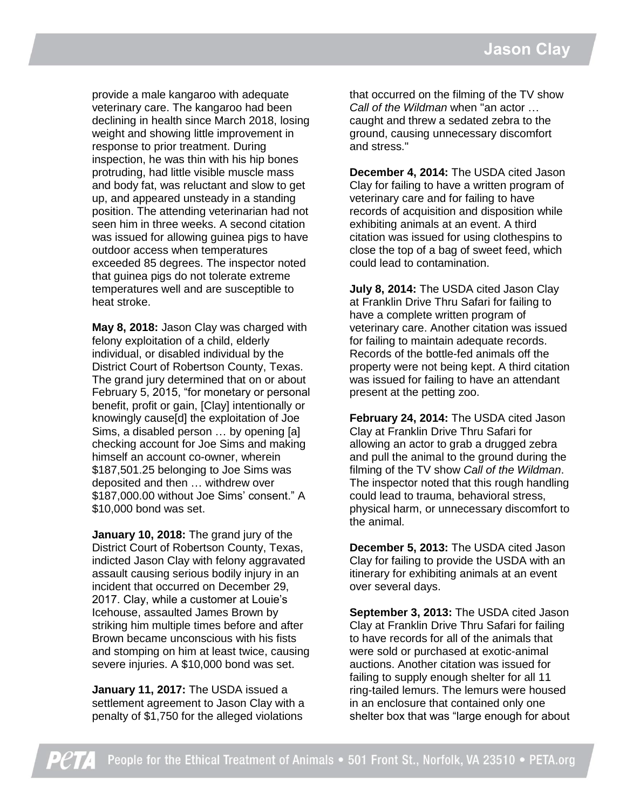provide a male kangaroo with adequate veterinary care. The kangaroo had been declining in health since March 2018, losing weight and showing little improvement in response to prior treatment. During inspection, he was thin with his hip bones protruding, had little visible muscle mass and body fat, was reluctant and slow to get up, and appeared unsteady in a standing position. The attending veterinarian had not seen him in three weeks. A second citation was issued for allowing guinea pigs to have outdoor access when temperatures exceeded 85 degrees. The inspector noted that guinea pigs do not tolerate extreme temperatures well and are susceptible to heat stroke.

**May 8, 2018:** Jason Clay was charged with felony exploitation of a child, elderly individual, or disabled individual by the District Court of Robertson County, Texas. The grand jury determined that on or about February 5, 2015, "for monetary or personal benefit, profit or gain, [Clay] intentionally or knowingly cause[d] the exploitation of Joe Sims, a disabled person … by opening [a] checking account for Joe Sims and making himself an account co-owner, wherein \$187,501.25 belonging to Joe Sims was deposited and then … withdrew over \$187,000.00 without Joe Sims' consent." A \$10,000 bond was set.

**January 10, 2018:** The grand jury of the District Court of Robertson County, Texas, indicted Jason Clay with felony aggravated assault causing serious bodily injury in an incident that occurred on December 29, 2017. Clay, while a customer at Louie's Icehouse, assaulted James Brown by striking him multiple times before and after Brown became unconscious with his fists and stomping on him at least twice, causing severe injuries. A \$10,000 bond was set.

**January 11, 2017:** The USDA issued a settlement agreement to Jason Clay with a penalty of \$1,750 for the alleged violations

that occurred on the filming of the TV show *Call of the Wildman* when "an actor … caught and threw a sedated zebra to the ground, causing unnecessary discomfort and stress."

**December 4, 2014:** The USDA cited Jason Clay for failing to have a written program of veterinary care and for failing to have records of acquisition and disposition while exhibiting animals at an event. A third citation was issued for using clothespins to close the top of a bag of sweet feed, which could lead to contamination.

**July 8, 2014:** The USDA cited Jason Clay at Franklin Drive Thru Safari for failing to have a complete written program of veterinary care. Another citation was issued for failing to maintain adequate records. Records of the bottle-fed animals off the property were not being kept. A third citation was issued for failing to have an attendant present at the petting zoo.

**February 24, 2014:** The USDA cited Jason Clay at Franklin Drive Thru Safari for allowing an actor to grab a drugged zebra and pull the animal to the ground during the filming of the TV show *Call of the Wildman*. The inspector noted that this rough handling could lead to trauma, behavioral stress, physical harm, or unnecessary discomfort to the animal.

**December 5, 2013:** The USDA cited Jason Clay for failing to provide the USDA with an itinerary for exhibiting animals at an event over several days.

**September 3, 2013:** The USDA cited Jason Clay at Franklin Drive Thru Safari for failing to have records for all of the animals that were sold or purchased at exotic-animal auctions. Another citation was issued for failing to supply enough shelter for all 11 ring-tailed lemurs. The lemurs were housed in an enclosure that contained only one shelter box that was "large enough for about